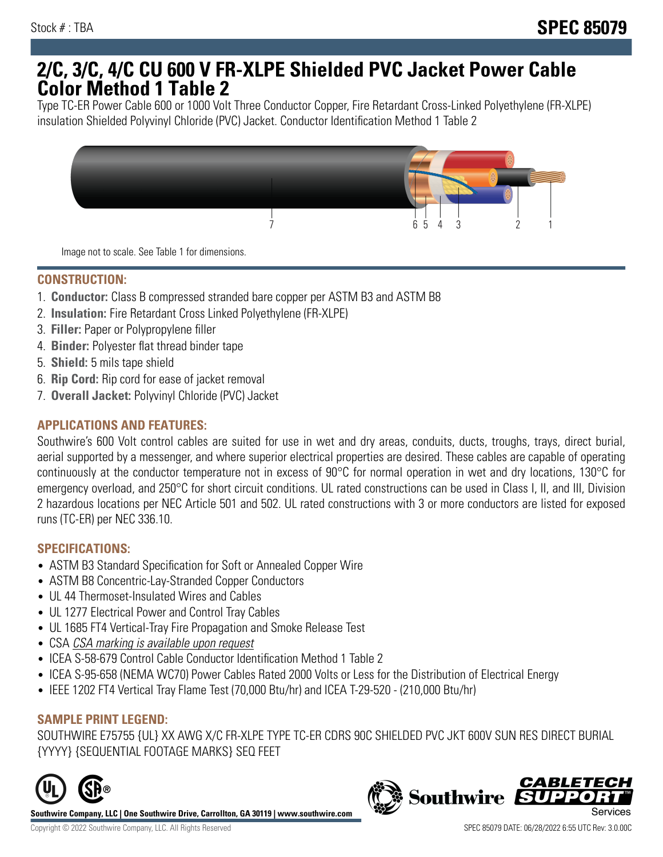# **2/C, 3/C, 4/C CU 600 V FR-XLPE Shielded PVC Jacket Power Cable Color Method 1 Table 2**

Type TC-ER Power Cable 600 or 1000 Volt Three Conductor Copper, Fire Retardant Cross-Linked Polyethylene (FR-XLPE) insulation Shielded Polyvinyl Chloride (PVC) Jacket. Conductor Identification Method 1 Table 2



Image not to scale. See Table 1 for dimensions.

### **CONSTRUCTION:**

- 1. **Conductor:** Class B compressed stranded bare copper per ASTM B3 and ASTM B8
- 2. **Insulation:** Fire Retardant Cross Linked Polyethylene (FR-XLPE)
- 3. **Filler:** Paper or Polypropylene filler
- 4. **Binder:** Polyester flat thread binder tape
- 5. **Shield:** 5 mils tape shield
- 6. **Rip Cord:** Rip cord for ease of jacket removal
- 7. **Overall Jacket:** Polyvinyl Chloride (PVC) Jacket

### **APPLICATIONS AND FEATURES:**

Southwire's 600 Volt control cables are suited for use in wet and dry areas, conduits, ducts, troughs, trays, direct burial, aerial supported by a messenger, and where superior electrical properties are desired. These cables are capable of operating continuously at the conductor temperature not in excess of 90°C for normal operation in wet and dry locations, 130°C for emergency overload, and 250°C for short circuit conditions. UL rated constructions can be used in Class I, II, and III, Division 2 hazardous locations per NEC Article 501 and 502. UL rated constructions with 3 or more conductors are listed for exposed runs (TC-ER) per NEC 336.10.

## **SPECIFICATIONS:**

- ASTM B3 Standard Specification for Soft or Annealed Copper Wire
- ASTM B8 Concentric-Lay-Stranded Copper Conductors
- UL 44 Thermoset-Insulated Wires and Cables
- UL 1277 Electrical Power and Control Tray Cables
- UL 1685 FT4 Vertical-Tray Fire Propagation and Smoke Release Test
- CSA CSA marking is available upon request
- ICEA S-58-679 Control Cable Conductor Identification Method 1 Table 2
- ICEA S-95-658 (NEMA WC70) Power Cables Rated 2000 Volts or Less for the Distribution of Electrical Energy
- IEEE 1202 FT4 Vertical Tray Flame Test (70,000 Btu/hr) and ICEA T-29-520 (210,000 Btu/hr)

#### **SAMPLE PRINT LEGEND:**

SOUTHWIRE E75755 {UL} XX AWG X/C FR-XLPE TYPE TC-ER CDRS 90C SHIELDED PVC JKT 600V SUN RES DIRECT BURIAL {YYYY} {SEQUENTIAL FOOTAGE MARKS} SEQ FEET



**Southwire Company, LLC | One Southwire Drive, Carrollton, GA 30119 | www.southwire.com**